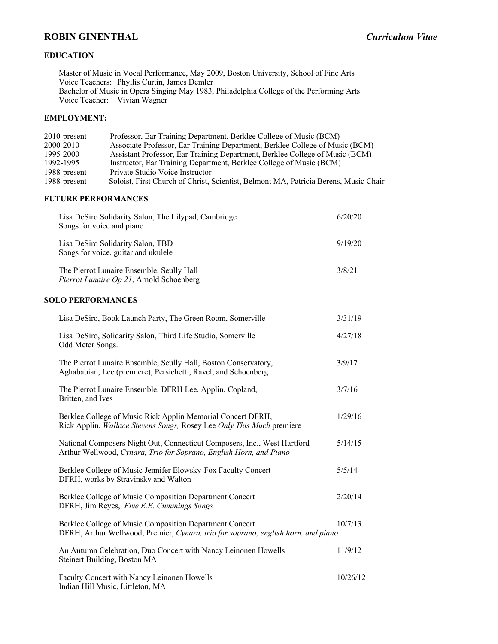# **ROBIN GINENTHAL** *Curriculum Vitae*

## **EDUCATION**

Master of Music in Vocal Performance, May 2009, Boston University, School of Fine Arts Voice Teachers: Phyllis Curtin, James Demler Bachelor of Music in Opera Singing May 1983, Philadelphia College of the Performing Arts Voice Teacher: Vivian Wagner

#### **EMPLOYMENT:**

| $2010$ -present | Professor, Ear Training Department, Berklee College of Music (BCM)                   |
|-----------------|--------------------------------------------------------------------------------------|
| 2000-2010       | Associate Professor, Ear Training Department, Berklee College of Music (BCM)         |
| 1995-2000       | Assistant Professor, Ear Training Department, Berklee College of Music (BCM)         |
| 1992-1995       | Instructor, Ear Training Department, Berklee College of Music (BCM)                  |
| 1988-present    | Private Studio Voice Instructor                                                      |
| 1988-present    | Soloist, First Church of Christ, Scientist, Belmont MA, Patricia Berens, Music Chair |

### **FUTURE PERFORMANCES**

| Lisa DeSiro Solidarity Salon, The Lilypad, Cambridge<br>Songs for voice and piano     | 6/20/20 |
|---------------------------------------------------------------------------------------|---------|
| Lisa DeSiro Solidarity Salon, TBD<br>Songs for voice, guitar and ukulele              | 9/19/20 |
| The Pierrot Lunaire Ensemble, Seully Hall<br>Pierrot Lunaire Op 21, Arnold Schoenberg | 3/8/21  |

#### **SOLO PERFORMANCES**

| Lisa DeSiro, Book Launch Party, The Green Room, Somerville                                                                                          | 3/31/19  |
|-----------------------------------------------------------------------------------------------------------------------------------------------------|----------|
| Lisa DeSiro, Solidarity Salon, Third Life Studio, Somerville<br>Odd Meter Songs.                                                                    | 4/27/18  |
| The Pierrot Lunaire Ensemble, Seully Hall, Boston Conservatory,<br>Aghababian, Lee (premiere), Persichetti, Ravel, and Schoenberg                   | 3/9/17   |
| The Pierrot Lunaire Ensemble, DFRH Lee, Applin, Copland,<br>Britten, and Ives                                                                       | 3/7/16   |
| Berklee College of Music Rick Applin Memorial Concert DFRH,<br>Rick Applin, <i>Wallace Stevens Songs</i> , Rosey Lee <i>Only This Much</i> premiere | 1/29/16  |
| National Composers Night Out, Connecticut Composers, Inc., West Hartford<br>Arthur Wellwood, Cynara, Trio for Soprano, English Horn, and Piano      | 5/14/15  |
| Berklee College of Music Jennifer Elowsky-Fox Faculty Concert<br>DFRH, works by Stravinsky and Walton                                               | 5/5/14   |
| Berklee College of Music Composition Department Concert<br>DFRH, Jim Reyes, Five E.E. Cummings Songs                                                | 2/20/14  |
| Berklee College of Music Composition Department Concert<br>DFRH, Arthur Wellwood, Premier, Cynara, trio for soprano, english horn, and piano        | 10/7/13  |
| An Autumn Celebration, Duo Concert with Nancy Leinonen Howells<br>Steinert Building, Boston MA                                                      | 11/9/12  |
| Faculty Concert with Nancy Leinonen Howells<br>Indian Hill Music, Littleton, MA                                                                     | 10/26/12 |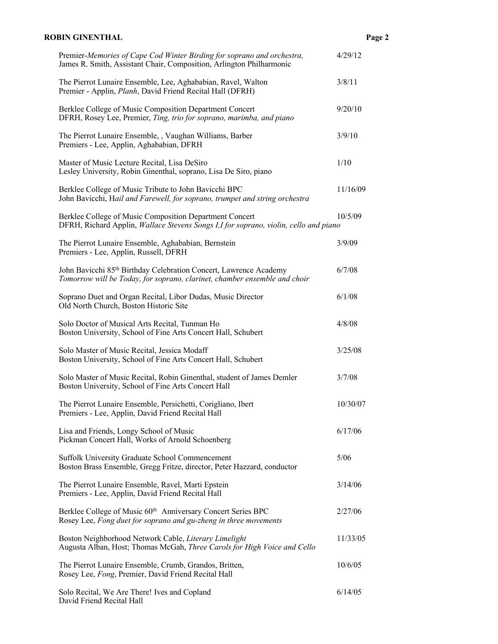## **ROBIN GINENTHAL Page 2**

| Premier-Memories of Cape Cod Winter Birding for soprano and orchestra,<br>James R. Smith, Assistant Chair, Composition, Arlington Philharmonic             | 4/29/12  |
|------------------------------------------------------------------------------------------------------------------------------------------------------------|----------|
| The Pierrot Lunaire Ensemble, Lee, Aghababian, Ravel, Walton<br>Premier - Applin, Planh, David Friend Recital Hall (DFRH)                                  | 3/8/11   |
| Berklee College of Music Composition Department Concert<br>DFRH, Rosey Lee, Premier, Ting, trio for soprano, marimba, and piano                            | 9/20/10  |
| The Pierrot Lunaire Ensemble, , Vaughan Williams, Barber<br>Premiers - Lee, Applin, Aghababian, DFRH                                                       | 3/9/10   |
| Master of Music Lecture Recital, Lisa DeSiro<br>Lesley University, Robin Ginenthal, soprano, Lisa De Siro, piano                                           | 1/10     |
| Berklee College of Music Tribute to John Bavicchi BPC<br>John Bavicchi, Hail and Farewell, for soprano, trumpet and string orchestra                       | 11/16/09 |
| Berklee College of Music Composition Department Concert<br>DFRH, Richard Applin, Wallace Stevens Songs I,I for soprano, violin, cello and piano            | 10/5/09  |
| The Pierrot Lunaire Ensemble, Aghababian, Bernstein<br>Premiers - Lee, Applin, Russell, DFRH                                                               | 3/9/09   |
| John Bavicchi 85 <sup>th</sup> Birthday Celebration Concert, Lawrence Academy<br>Tomorrow will be Today, for soprano, clarinet, chamber ensemble and choir | 6/7/08   |
| Soprano Duet and Organ Recital, Libor Dudas, Music Director<br>Old North Church, Boston Historic Site                                                      | 6/1/08   |
| Solo Doctor of Musical Arts Recital, Tunman Ho<br>Boston University, School of Fine Arts Concert Hall, Schubert                                            | 4/8/08   |
| Solo Master of Music Recital, Jessica Modaff<br>Boston University, School of Fine Arts Concert Hall, Schubert                                              | 3/25/08  |
| Solo Master of Music Recital, Robin Ginenthal, student of James Demler<br>Boston University, School of Fine Arts Concert Hall                              | 3/7/08   |
| The Pierrot Lunaire Ensemble, Persichetti, Corigliano, Ibert<br>Premiers - Lee, Applin, David Friend Recital Hall                                          | 10/30/07 |
| Lisa and Friends, Longy School of Music<br>Pickman Concert Hall, Works of Arnold Schoenberg                                                                | 6/17/06  |
| Suffolk University Graduate School Commencement<br>Boston Brass Ensemble, Gregg Fritze, director, Peter Hazzard, conductor                                 | 5/06     |
| The Pierrot Lunaire Ensemble, Ravel, Marti Epstein<br>Premiers - Lee, Applin, David Friend Recital Hall                                                    | 3/14/06  |
| Berklee College of Music 60th Anniversary Concert Series BPC<br>Rosey Lee, Fong duet for soprano and gu-zheng in three movements                           | 2/27/06  |
| Boston Neighborhood Network Cable, Literary Limelight<br>Augusta Alban, Host; Thomas McGah, Three Carols for High Voice and Cello                          | 11/33/05 |
| The Pierrot Lunaire Ensemble, Crumb, Grandos, Britten,<br>Rosey Lee, Fong, Premier, David Friend Recital Hall                                              | 10/6/05  |
| Solo Recital, We Are There! Ives and Copland<br>David Friend Recital Hall                                                                                  | 6/14/05  |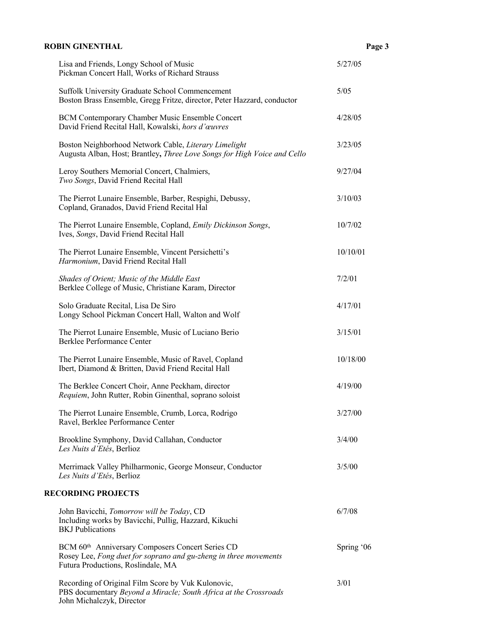| <b>ROBIN GINENTHAL</b>                                                                                                                                                 | Page 3     |
|------------------------------------------------------------------------------------------------------------------------------------------------------------------------|------------|
| Lisa and Friends, Longy School of Music<br>Pickman Concert Hall, Works of Richard Strauss                                                                              | 5/27/05    |
| Suffolk University Graduate School Commencement<br>Boston Brass Ensemble, Gregg Fritze, director, Peter Hazzard, conductor                                             | 5/05       |
| BCM Contemporary Chamber Music Ensemble Concert<br>David Friend Recital Hall, Kowalski, hors d'œuvres                                                                  | 4/28/05    |
| Boston Neighborhood Network Cable, Literary Limelight<br>Augusta Alban, Host; Brantley, Three Love Songs for High Voice and Cello                                      | 3/23/05    |
| Leroy Southers Memorial Concert, Chalmiers,<br>Two Songs, David Friend Recital Hall                                                                                    | 9/27/04    |
| The Pierrot Lunaire Ensemble, Barber, Respighi, Debussy,<br>Copland, Granados, David Friend Recital Hal                                                                | 3/10/03    |
| The Pierrot Lunaire Ensemble, Copland, Emily Dickinson Songs,<br>Ives, Songs, David Friend Recital Hall                                                                | 10/7/02    |
| The Pierrot Lunaire Ensemble, Vincent Persichetti's<br>Harmonium, David Friend Recital Hall                                                                            | 10/10/01   |
| Shades of Orient; Music of the Middle East<br>Berklee College of Music, Christiane Karam, Director                                                                     | 7/2/01     |
| Solo Graduate Recital, Lisa De Siro<br>Longy School Pickman Concert Hall, Walton and Wolf                                                                              | 4/17/01    |
| The Pierrot Lunaire Ensemble, Music of Luciano Berio<br>Berklee Performance Center                                                                                     | 3/15/01    |
| The Pierrot Lunaire Ensemble, Music of Ravel, Copland<br>Ibert, Diamond & Britten, David Friend Recital Hall                                                           | 10/18/00   |
| The Berklee Concert Choir, Anne Peckham, director<br>Requiem, John Rutter, Robin Ginenthal, soprano soloist                                                            | 4/19/00    |
| The Pierrot Lunaire Ensemble, Crumb, Lorca, Rodrigo<br>Ravel, Berklee Performance Center                                                                               | 3/27/00    |
| Brookline Symphony, David Callahan, Conductor<br>Les Nuits d'Etés, Berlioz                                                                                             | 3/4/00     |
| Merrimack Valley Philharmonic, George Monseur, Conductor<br>Les Nuits d'Etés, Berlioz                                                                                  | 3/5/00     |
| <b>RECORDING PROJECTS</b>                                                                                                                                              |            |
| John Bavicchi, Tomorrow will be Today, CD<br>Including works by Bavicchi, Pullig, Hazzard, Kikuchi<br><b>BKJ</b> Publications                                          | 6/7/08     |
| BCM 60 <sup>th</sup> Anniversary Composers Concert Series CD<br>Rosey Lee, Fong duet for soprano and gu-zheng in three movements<br>Futura Productions, Roslindale, MA | Spring '06 |
| Recording of Original Film Score by Vuk Kulonovic,<br>PBS documentary Beyond a Miracle; South Africa at the Crossroads<br>John Michalczyk, Director                    | 3/01       |